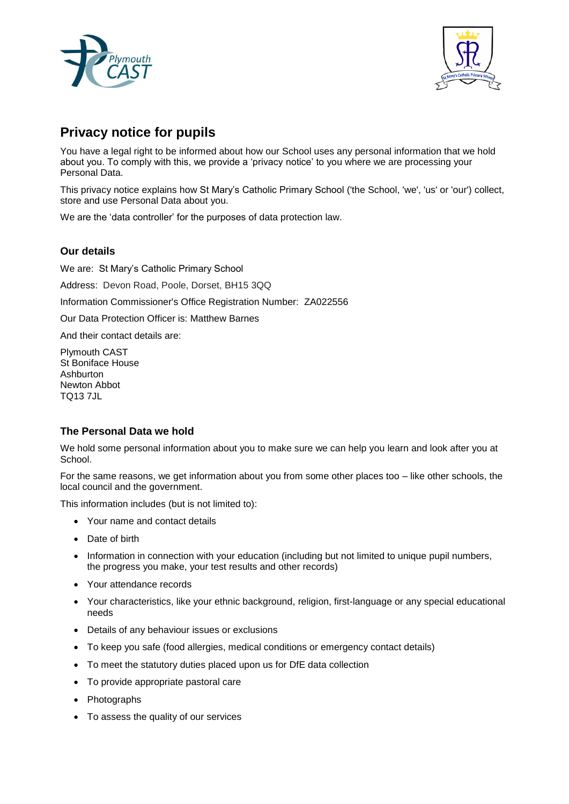



# **Privacy notice for pupils**

You have a legal right to be informed about how our School uses any personal information that we hold about you. To comply with this, we provide a 'privacy notice' to you where we are processing your Personal Data.

This privacy notice explains how St Mary's Catholic Primary School ('the School, 'we', 'us' or 'our') collect, store and use Personal Data about you.

We are the 'data controller' for the purposes of data protection law.

## **Our details**

We are: St Mary's Catholic Primary School

Address: Devon Road, Poole, Dorset, BH15 3QQ

Information Commissioner's Office Registration Number: ZA022556

Our Data Protection Officer is: Matthew Barnes

And their contact details are:

Plymouth CAST St Boniface House Ashburton Newton Abbot TQ13 7JL

# **The Personal Data we hold**

We hold some personal information about you to make sure we can help you learn and look after you at School.

For the same reasons, we get information about you from some other places too – like other schools, the local council and the government.

This information includes (but is not limited to):

- Your name and contact details
- Date of birth
- Information in connection with your education (including but not limited to unique pupil numbers, the progress you make, your test results and other records)
- Your attendance records
- Your characteristics, like your ethnic background, religion, first-language or any special educational needs
- Details of any behaviour issues or exclusions
- To keep you safe (food allergies, medical conditions or emergency contact details)
- To meet the statutory duties placed upon us for DfE data collection
- To provide appropriate pastoral care
- Photographs
- To assess the quality of our services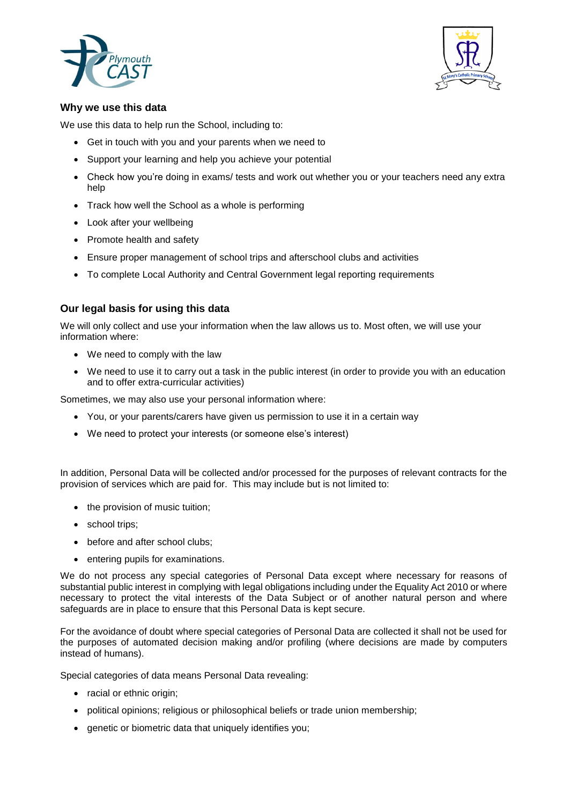



## **Why we use this data**

We use this data to help run the School, including to:

- Get in touch with you and your parents when we need to
- Support your learning and help you achieve your potential
- Check how you're doing in exams/ tests and work out whether you or your teachers need any extra help
- Track how well the School as a whole is performing
- Look after your wellbeing
- Promote health and safety
- Ensure proper management of school trips and afterschool clubs and activities
- To complete Local Authority and Central Government legal reporting requirements

## **Our legal basis for using this data**

We will only collect and use your information when the law allows us to. Most often, we will use your information where:

- We need to comply with the law
- We need to use it to carry out a task in the public interest (in order to provide you with an education and to offer extra-curricular activities)

Sometimes, we may also use your personal information where:

- You, or your parents/carers have given us permission to use it in a certain way
- We need to protect your interests (or someone else's interest)

In addition, Personal Data will be collected and/or processed for the purposes of relevant contracts for the provision of services which are paid for. This may include but is not limited to:

- the provision of music tuition;
- school trips;
- before and after school clubs;
- entering pupils for examinations.

We do not process any special categories of Personal Data except where necessary for reasons of substantial public interest in complying with legal obligations including under the Equality Act 2010 or where necessary to protect the vital interests of the Data Subject or of another natural person and where safeguards are in place to ensure that this Personal Data is kept secure.

For the avoidance of doubt where special categories of Personal Data are collected it shall not be used for the purposes of automated decision making and/or profiling (where decisions are made by computers instead of humans).

Special categories of data means Personal Data revealing:

- racial or ethnic origin;
- political opinions; religious or philosophical beliefs or trade union membership;
- genetic or biometric data that uniquely identifies you;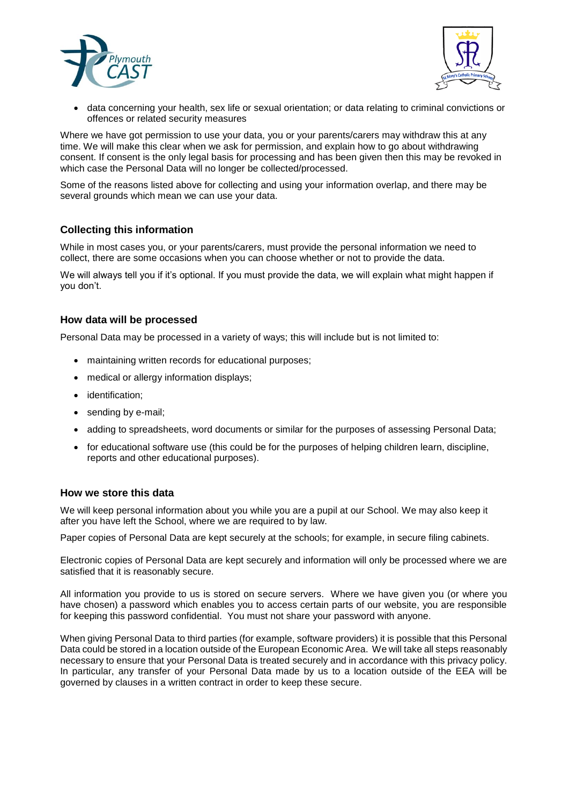



 data concerning your health, sex life or sexual orientation; or data relating to criminal convictions or offences or related security measures

Where we have got permission to use your data, you or your parents/carers may withdraw this at any time. We will make this clear when we ask for permission, and explain how to go about withdrawing consent. If consent is the only legal basis for processing and has been given then this may be revoked in which case the Personal Data will no longer be collected/processed.

Some of the reasons listed above for collecting and using your information overlap, and there may be several grounds which mean we can use your data.

# **Collecting this information**

While in most cases you, or your parents/carers, must provide the personal information we need to collect, there are some occasions when you can choose whether or not to provide the data.

We will always tell you if it's optional. If you must provide the data, we will explain what might happen if you don't.

## **How data will be processed**

Personal Data may be processed in a variety of ways; this will include but is not limited to:

- maintaining written records for educational purposes;
- medical or allergy information displays;
- identification:
- sending by e-mail;
- adding to spreadsheets, word documents or similar for the purposes of assessing Personal Data;
- for educational software use (this could be for the purposes of helping children learn, discipline, reports and other educational purposes).

## **How we store this data**

We will keep personal information about you while you are a pupil at our School. We may also keep it after you have left the School, where we are required to by law.

Paper copies of Personal Data are kept securely at the schools; for example, in secure filing cabinets.

Electronic copies of Personal Data are kept securely and information will only be processed where we are satisfied that it is reasonably secure.

All information you provide to us is stored on secure servers. Where we have given you (or where you have chosen) a password which enables you to access certain parts of our website, you are responsible for keeping this password confidential. You must not share your password with anyone.

When giving Personal Data to third parties (for example, software providers) it is possible that this Personal Data could be stored in a location outside of the European Economic Area. We will take all steps reasonably necessary to ensure that your Personal Data is treated securely and in accordance with this privacy policy. In particular, any transfer of your Personal Data made by us to a location outside of the EEA will be governed by clauses in a written contract in order to keep these secure.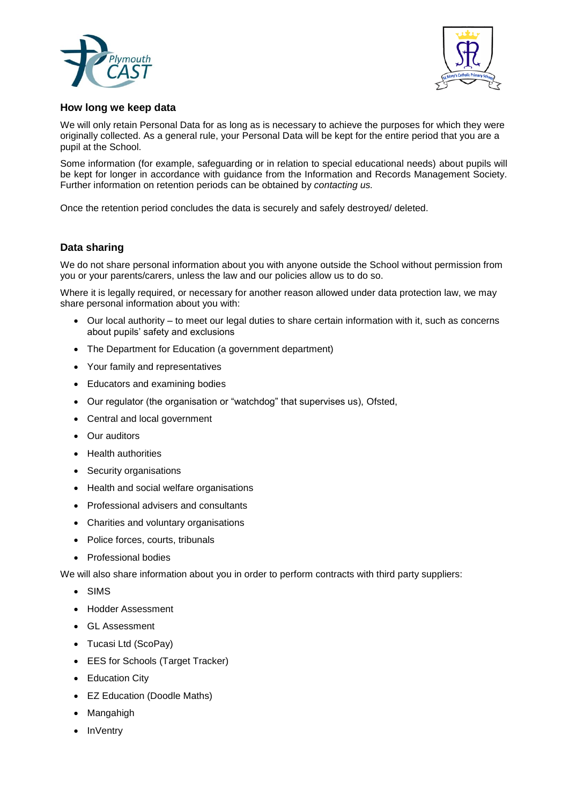



## **How long we keep data**

We will only retain Personal Data for as long as is necessary to achieve the purposes for which they were originally collected. As a general rule, your Personal Data will be kept for the entire period that you are a pupil at the School.

Some information (for example, safeguarding or in relation to special educational needs) about pupils will be kept for longer in accordance with guidance from the Information and Records Management Society. Further information on retention periods can be obtained by *contacting us.* 

Once the retention period concludes the data is securely and safely destroyed/ deleted.

## **Data sharing**

We do not share personal information about you with anyone outside the School without permission from you or your parents/carers, unless the law and our policies allow us to do so.

Where it is legally required, or necessary for another reason allowed under data protection law, we may share personal information about you with:

- Our local authority to meet our legal duties to share certain information with it, such as concerns about pupils' safety and exclusions
- The Department for Education (a government department)
- Your family and representatives
- Educators and examining bodies
- Our regulator (the organisation or "watchdog" that supervises us), Ofsted,
- Central and local government
- Our auditors
- Health authorities
- Security organisations
- Health and social welfare organisations
- Professional advisers and consultants
- Charities and voluntary organisations
- Police forces, courts, tribunals
- Professional bodies

We will also share information about you in order to perform contracts with third party suppliers:

- SIMS
- Hodder Assessment
- GL Assessment
- Tucasi Ltd (ScoPay)
- EES for Schools (Target Tracker)
- Education City
- EZ Education (Doodle Maths)
- Mangahigh
- **InVentry**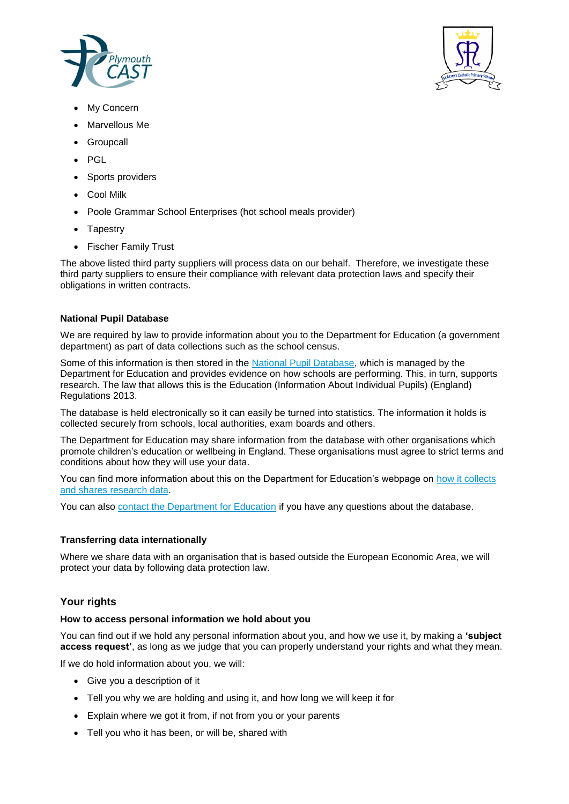



- My Concern
- Marvellous Me
- **Groupcall**
- PGL
- Sports providers
- Cool Milk
- Poole Grammar School Enterprises (hot school meals provider)
- **Tapestry**
- Fischer Family Trust

The above listed third party suppliers will process data on our behalf. Therefore, we investigate these third party suppliers to ensure their compliance with relevant data protection laws and specify their obligations in written contracts.

## **National Pupil Database**

We are required by law to provide information about you to the Department for Education (a government department) as part of data collections such as the school census.

Some of this information is then stored in the National Pupil Database, which is managed by the Department for Education and provides evidence on how schools are performing. This, in turn, supports research. The law that allows this is the Education (Information About Individual Pupils) (England) Regulations 2013.

The database is held electronically so it can easily be turned into statistics. The information it holds is collected securely from schools, local authorities, exam boards and others.

The Department for Education may share information from the database with other organisations which promote children's education or wellbeing in England. These organisations must agree to strict terms and conditions about how they will use your data.

You can find more information about this on the Department for Education's webpage on how it collects and shares research data.

You can also contact the Department for Education if you have any questions about the database.

## **Transferring data internationally**

Where we share data with an organisation that is based outside the European Economic Area, we will protect your data by following data protection law.

# **Your rights**

## **How to access personal information we hold about you**

You can find out if we hold any personal information about you, and how we use it, by making a **'subject access request'**, as long as we judge that you can properly understand your rights and what they mean.

If we do hold information about you, we will:

- Give you a description of it
- Tell you why we are holding and using it, and how long we will keep it for
- Explain where we got it from, if not from you or your parents
- Tell you who it has been, or will be, shared with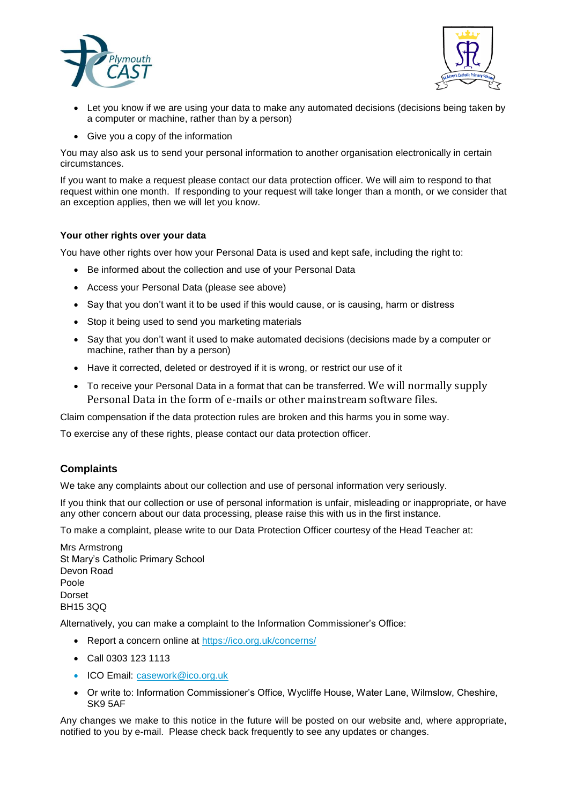



- Let you know if we are using your data to make any automated decisions (decisions being taken by a computer or machine, rather than by a person)
- Give you a copy of the information

You may also ask us to send your personal information to another organisation electronically in certain circumstances.

If you want to make a request please contact our data protection officer. We will aim to respond to that request within one month. If responding to your request will take longer than a month, or we consider that an exception applies, then we will let you know.

#### **Your other rights over your data**

You have other rights over how your Personal Data is used and kept safe, including the right to:

- Be informed about the collection and use of your Personal Data
- Access your Personal Data (please see above)
- Say that you don't want it to be used if this would cause, or is causing, harm or distress
- Stop it being used to send you marketing materials
- Say that you don't want it used to make automated decisions (decisions made by a computer or machine, rather than by a person)
- Have it corrected, deleted or destroyed if it is wrong, or restrict our use of it
- To receive your Personal Data in a format that can be transferred. We will normally supply Personal Data in the form of e-mails or other mainstream software files.

Claim compensation if the data protection rules are broken and this harms you in some way.

To exercise any of these rights, please contact our data protection officer.

## **Complaints**

We take any complaints about our collection and use of personal information very seriously.

If you think that our collection or use of personal information is unfair, misleading or inappropriate, or have any other concern about our data processing, please raise this with us in the first instance.

To make a complaint, please write to our Data Protection Officer courtesy of the Head Teacher at:

Mrs Armstrong St Mary's Catholic Primary School Devon Road Poole Dorset BH15 3QQ

Alternatively, you can make a complaint to the Information Commissioner's Office:

- Report a concern online at https://ico.org.uk/concerns/
- Call 0303 123 1113
- ICO Email: casework@ico.org.uk
- Or write to: Information Commissioner's Office, Wycliffe House, Water Lane, Wilmslow, Cheshire, SK9 5AF

Any changes we make to this notice in the future will be posted on our website and, where appropriate, notified to you by e-mail. Please check back frequently to see any updates or changes.